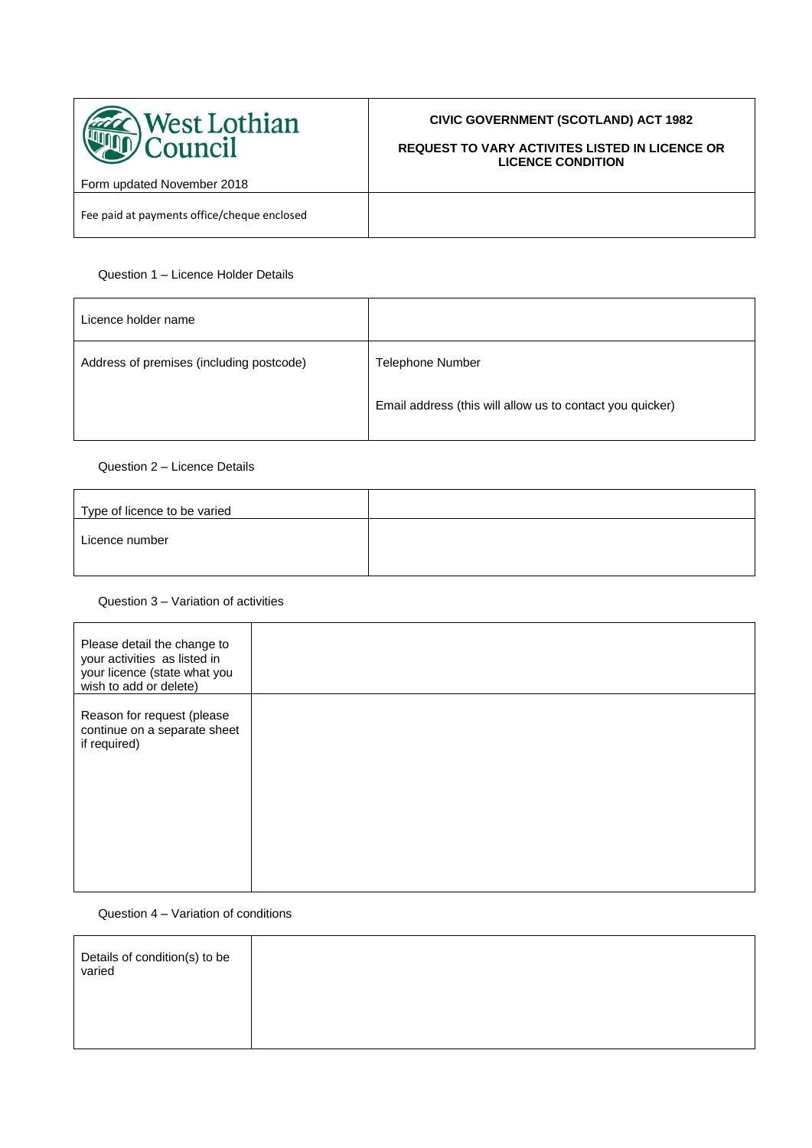

# **CIVIC GOVERNMENT (SCOTLAND) ACT 1982**

### **REQUEST TO VARY ACTIVITES LISTED IN LICENCE OR LICENCE CONDITION**

Form updated November 2018

Fee paid at payments office/cheque enclosed

## Question 1 – Licence Holder Details

| Licence holder name                      |                                                           |
|------------------------------------------|-----------------------------------------------------------|
| Address of premises (including postcode) | <b>Telephone Number</b>                                   |
|                                          | Email address (this will allow us to contact you quicker) |

### Question 2 – Licence Details

| Type of licence to be varied |  |
|------------------------------|--|
| Licence number               |  |
|                              |  |

### Question 3 – Variation of activities

| Please detail the change to<br>your activities as listed in<br>your licence (state what you<br>wish to add or delete) |  |
|-----------------------------------------------------------------------------------------------------------------------|--|
| Reason for request (please<br>continue on a separate sheet<br>if required)                                            |  |

#### Question 4 – Variation of conditions

| Details of condition(s) to be<br>varied |  |
|-----------------------------------------|--|
|                                         |  |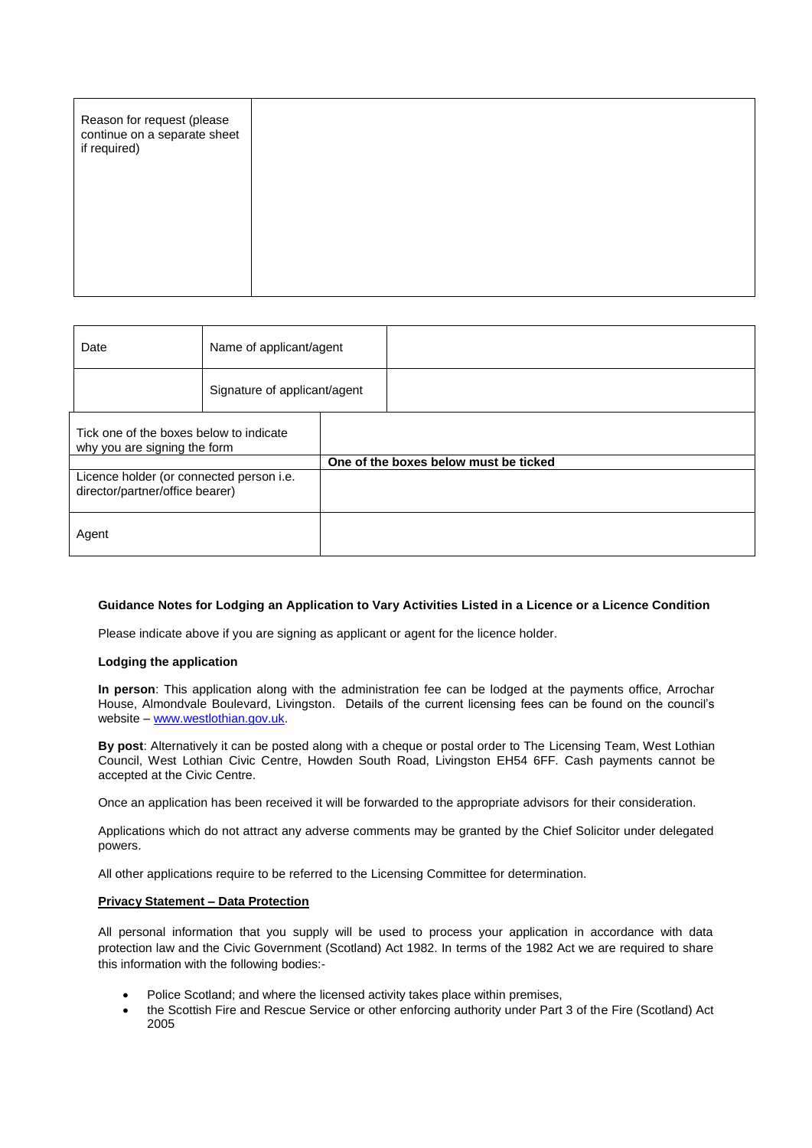| Reason for request (please<br>continue on a separate sheet<br>if required) |  |
|----------------------------------------------------------------------------|--|
|                                                                            |  |

| Date                                                                        |  | Name of applicant/agent      |                                       |  |
|-----------------------------------------------------------------------------|--|------------------------------|---------------------------------------|--|
|                                                                             |  | Signature of applicant/agent |                                       |  |
| Tick one of the boxes below to indicate<br>why you are signing the form     |  |                              |                                       |  |
|                                                                             |  |                              | One of the boxes below must be ticked |  |
| Licence holder (or connected person i.e.<br>director/partner/office bearer) |  |                              |                                       |  |
| Agent                                                                       |  |                              |                                       |  |

#### **Guidance Notes for Lodging an Application to Vary Activities Listed in a Licence or a Licence Condition**

Please indicate above if you are signing as applicant or agent for the licence holder.

#### **Lodging the application**

**In person**: This application along with the administration fee can be lodged at the payments office, Arrochar House, Almondvale Boulevard, Livingston. Details of the current licensing fees can be found on the council's website – [www.westlothian.gov.uk.](http://www.westlothian.gov.uk/)

**By post**: Alternatively it can be posted along with a cheque or postal order to The Licensing Team, West Lothian Council, West Lothian Civic Centre, Howden South Road, Livingston EH54 6FF. Cash payments cannot be accepted at the Civic Centre.

Once an application has been received it will be forwarded to the appropriate advisors for their consideration.

Applications which do not attract any adverse comments may be granted by the Chief Solicitor under delegated powers.

All other applications require to be referred to the Licensing Committee for determination.

#### **Privacy Statement – Data Protection**

All personal information that you supply will be used to process your application in accordance with data protection law and the Civic Government (Scotland) Act 1982. In terms of the 1982 Act we are required to share this information with the following bodies:-

- Police Scotland; and where the licensed activity takes place within premises,
- the Scottish Fire and Rescue Service or other enforcing authority under Part 3 of the Fire (Scotland) Act 2005